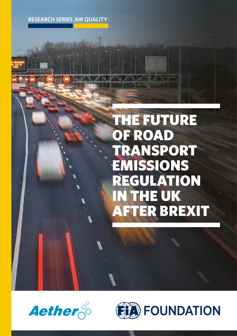**RESEARCH SERIES AIR QUALITY**

### THE FUTURE OF ROAD TRANSPORT EMISSIONS REGULATION IN THE UK AFTER BREXIT



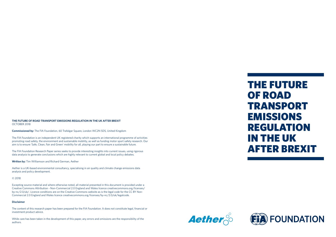#### **THE FUTURE OF ROAD TRANSPORT EMISSIONS REGULATION IN THE UK AFTER BREXIT** OCTOBER 2018

**Commissioned by:** The FIA Foundation, 60 Trafalgar Square, London WC2N 5DS, United Kingdom

The FIA Foundation is an independent UK registered charity which supports an international programme of activities promoting road safety, the environment and sustainable mobility, as well as funding motor sport safety research. Our aim is to ensure 'Safe, Clean, Fair and Green' mobility for all, playing our part to ensure a sustainable future.

The FIA Foundation Research Paper series seeks to provide interesting insights into current issues, using rigorous data analysis to generate conclusions which are highly relevant to current global and local policy debates.

**Written by:** Tim Williamson and Richard German, Aether

Aether is a UK-based environmental consultancy, specialising in air quality and climate change emissions data analysis and policy development.

#### © 2018

Excepting source material and where otherwise noted, all material presented in this document is provided under a Creative Commons Attribution - Non-Commercial 2.0 England and Wales licence creativecommons.org/licenses/ by-nc/2.0/uk/. Licence conditions are on the Creative Commons website as is the legal code for the CC BY Non-Commercial 2.0 England and Wales licence creativecommons.org/licenses/by-nc/2.0/uk/legalcode.

#### **Disclaimer**

The content of this research paper has been prepared for the FIA Foundation. It does not constitute legal, financial or investment product advice.

While care has been taken in the development of this paper, any errors and omissions are the responsibility of the authors.





### THE FUTURE OF ROAD TRANSPORT EMISSIONS REGULATION IN THE UK AFTER BREXIT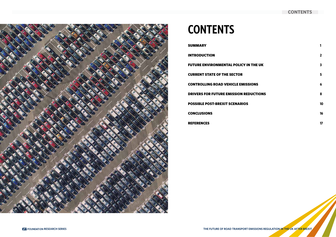### **CONTENTS**



# **CONTENTS**

**SUMMARY** INTRODUCTION FUTURE ENVIRONMENTAL POLICY IN TH CURRENT STATE OF THE SECTOR **CONTROLLING ROAD VEHICLE EMISSION** DRIVERS FOR FUTURE EMISSION REDUCT POSSIBLE POST-BREXIT SCENARIOS CONCLUSIONS REFERENCES

**1**

|               | $\mathbf{2}$            |
|---------------|-------------------------|
| <b>HE UK</b>  | $\overline{\mathbf{3}}$ |
|               | 5                       |
| NS            | 6                       |
| <b>CTIONS</b> | 8                       |
|               | 10                      |
|               | 16                      |
|               | 17                      |

**THE FUTURE OF ROAD TRANSPORT EMISSIONS REGULATION IN THE UK AFTER BREXIT**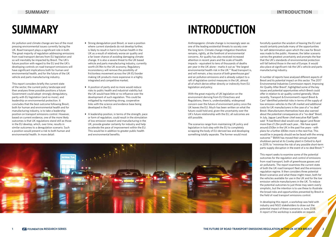Air pollution and climate change are two of the most pressing environmental issues currently facing the UK. Road transport plays a significant role in both. The great majority of regulation addressing emissions from road transport derives from EU legislation and so will inevitably be impacted by Brexit. The UK's future position with regard to the EU and the UK's developing controls on road transport emissions will have significant implications both for human and environmental health, and for the future of the UK vehicle and parts manufacturing industry.

This report considers briefly the current state of the sector, the current policy landscape and then analyses three possible positions a future Government could adopt: strongly deregulatory, parity with EU legislation (and no more), and leadership on environmental protection. It concludes that the best outcome following Brexit, both for human and environmental health and for manufacturing industry, is to take a leadership position on transport emissions control. However, based on current evidence, one of the more likely outcomes is that UK regulations stand still as those in the EU develop, which, over time, results in similar outcomes to a deregulation scenario. Such a position would present a risk to both human and environmental health. In more detail:

#### **THE FUTURE OF ROAD TRANSPORT EMISSIONS REGULATION IN THE UK AFTER BREXIT 1 RESEARCH SERIES 2**

- **•** Strong deregulation post Brexit, or even a position where current standards do not develop further, is likely to result in harm to human health in the UK as a result of relatively worse air quality and a far lower chance of avoiding damaging climate change. It is also a severe threat to the UK based vehicle and parts manufacturing industry, currently worth £4.9bn to the UK economy. Regulatory inconsistency will remove the possibility of frictionless movement across the UK-EU border making UK products more expensive in a highly integrated and competitive market;
- **•** A position of parity and no more would reduce risks to public health and industrial viability but the UK would have little or no influence over the development of such regulation. This could be mitigated by maintaining strong, cooperative links with the science and evidence base being developed in the EU;
- **•** A leadership position, in terms of the strength, pace or form of regulation, could result in the stimulation of low emission research and manufacturing in the UK, provide greater certainty for industry and help accelerate the pace of improvement within the EU. This would be in addition to greater public health and environmental benefits.

# **SUMMARY**

Anthropogenic climate change is increasingly seen as one of the leading existential threats to society over the long term. Climate change mitigation therefore remains, rightly, at the forefront of environmental concerns. Air quality has also received increased attention in recent years and the scale of health impacts - equivalent to tens of thousands of deaths per year in the UK alone - marks it out as "the largest environmental health risk in the UK."1 Road transport is, and will remain, a key source of both greenhouse gas<sup>2</sup> and air pollution emissions and is already subject to a raft of legislative control measures in the UK, almost all of which derive either directly or indirectly from EU legislation and policy.

With the great majority of UK legislation on the environment deriving from EU Directives and Regulations, there is, understandably, widespread concern over the future of environment policy once the UK leaves the EU. Much has been written on what the future could hold and, given the uncertainty over the UK's future relationship with the EU, all outcomes are still possible.

The scenarios range from maintaining UK policy and legislation in lock step with the EU to completely scrapping the body of EU-derived law and developing something totally separate. The former would most



forcefully question the wisdom of leaving the EU and would certainly preclude many of the opportunities for self-determination upon which the case for Brexit was made to the public. However, the latter scenario carries the greatest uncertainty and prompts the fear that the UK's standards of environmental protection will fall behind those in the rest of Europe. It would also place at significant risk the UK's vehicle and parts manufacturing industry.

A number of reports have analysed different aspects of Brexit and its potential impact on this sector. The 2017 Environmental Industries Commission report, Improving Air Quality After Brexit<sup>3</sup>, highlighted some of the key issues and potential opportunities which Brexit could offer in relation to air quality control generally. More recently, Transport & Environment's report Brexit & Cars<sup>4</sup> identified potential risks in terms of the supply of low emission vehicles to the UK market and additional costs for UK manufacturers in the case of a "no deal" Brexit. Manufacturers themselves have also warned about the potential consequences of a "no-deal" Brexit. In July, Jaguar Land Rover chief executive Ralf Speth said: "A bad Brexit deal would cost Jaguar Land Rover more than £1.2bn profit each year… We have spent around £50bn in the UK in the past five years - with plans for a further £80bn more in the next five. This would be in jeopardy should we be faced with the wrong outcome."5 BMW has moved their annual summer shutdown period at its Cowley plant in Oxford to April in 2019, to "minimise the risk of any possible short-term parts-supply disruption in the event of a no-deal Brexit."6

This report seeks to examine some of the potential outcomes for the regulation and control of emissions from road transport, both of greenhouse gasses and air pollutants. The report examines the current state of both the UK road transport fleet and the emissions regulation regime. It then considers three potential Brexit scenarios and what these might mean, both for the vehicles available for use in the UK and for the low emission vehicle manufacturers in the UK. To reduce the potential outcomes to just three may seem overly simplistic, but the intention is to use these to illustrate the broad risks and opportunities presented by Brexit in the field of road transport emissions control.

In developing this report, a workshop was held with industry and NGO stakeholders to draw out the potential impact of these scenarios in June 2018. A report of the workshop is available on request.

# **INTRODUCTION**

### **INTRODUCTION**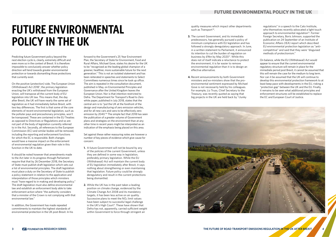### **FUTURE ENVIRONMENTAL POLICY IN THE UK**

Predicting future Government policy beyond the next election cycle is, clearly, extremely difficult and even more so in the context of Brexit. It is therefore impossible to conclusively answer whether policy direction will tend towards greater environmental protection or towards dismantling those protections that currently exist.

On the positive (protection) side, The European Union (Withdrawal) Act 20187 , the primary legislation enacting the UK's withdrawal from the European Union, will transpose all the current body of EU legislation into UK law. This means that, the day after Brexit, the UK will have nearly the same set of legislation as it had immediately before Brexit, with two key differences. The first is that some of the core elements of recent environmental legislation, such as the polluter pays and precautionary principles, won't be transposed. These are contained in the EU Treaties as opposed to Directives or Regulations and so are not part of the body of legislation currently referred to in the Act. Secondly, all references to the European Commission (EC) and similar bodies will be removed, including the reporting and enforcement functions for which the EC is responsible. Both changes would have a massive impact on the enforcement of environmental regulation given their role in this function in the UK to date.

It should be noted however that amendments made to the Act later in its progress through Parliament require that that by 26 December 2018, the Secretary of State must publish draft legislation which sets out a list of environmental principles. The draft legislation must place a duty on the Secretary of State to publish a policy statement in relation to the application and interpretation of those principles which ministers must "have regard to in making and developing policy." The draft legislation must also define environmental law and establish an enforcement body able to take enforcement action where "the authority considers that a minister of the Crown is not complying with that environmental law."

quality measures which impact other departments such as Transport<sup>10</sup>.

In addition, the Government has made repeated commitments to maintain the highest standards of environmental protection in the UK post-Brexit. In his

forward to the Government's 25 Year Environment Plan, the Secretary of State for Environment, Food and Rural Affairs, Michael Gove, states his desire for the UK to be "recognised as the leading global champion of a greener, healthier, more sustainable future for the next generation." This is not an isolated statement and has been reiterated in speeches and statements to Select Committees numerous times since he took up office. The aim is repeated in the consultation document, published in May, on Environmental Principles and Governance after the United Kingdom leaves the European Union. Nor is that intention restricted to Defra. The Department for Transport's Road to Zero white paper, published in July 2018, states that the central aim is to "put the UK at the forefront of the design and manufacturing of zero emission vehicles, and for all new cars and vans to be effectively zero emission by 2040."8 The simple fact that 2018 has seen the publication of a greater volume of Government plans and strategies on the environment than at any other time in recent years might be interpreted as an indication of the emphasis being placed on this area.

Set against these rather reassuring notes are however a number of key pieces of evidence which give cause for concern:

- **1.** A future Government will not be bound by any of the policies of the current Government, unless they are defined in some way in legislation, preferably primary legislation. While the EU (Withdrawal) Act will maintain the current body of EU legislation immediately after Brexit, it says nothing about strengthening or even maintaining that legislation. Future policy could be strongly deregulatory and result in the current protections being dismantled.
- **2.** While the UK has in the past taken a leading position on climate change, evidenced by the Climate Change Act 2008 and its mandatory targets, it has been less active on air quality. Successive plans to meet the  $NO<sub>2</sub>$  limit values have been subject to successful legal challenge in the UK's High Court<sup>9</sup>. These have shown that Defra has not, apparently, carried sufficient weight within Government to force through stringent air
- **3.** The current Government, and its immediate predecessors, has generally pursued a policy of minimum compliance with EU legislation and has followed a strongly deregulatory approach. In June, in a written statement to Parliament, it announced its intention to cut the burden of regulation on business by £9bn by May 2020<sup>11</sup>. While this does not of itself indicate a reluctance to protect the environment, it is far easier to remove environmental regulation than it is to design an effective alternative.
- **4.** Recent announcements by both Government ministers and ex-ministers show that the proenvironmental sentiment expressed by Michael Gove is not necessarily held by his colleagues. For example, Liz Truss, Chief Secretary to the Treasury, was recently quoted as saying that big projects in the UK are held back by "clunky



regulations" in a speech to the Cato Institute, who themselves recently advocated a light touch approach to environmental regulation<sup>12</sup>. Former Foreign Secretary, Boris Johnson, supported the publication on 24 September of an Institute of Economic Affairs (IEA) report which described EU environmental protection legislation as "anticompetitive" and said that they were "disguised methods of protectionism."

On balance, while the EU (Withdrawal) Act would appear to ensure that the current environmental regulatory structure will remain in place for the immediate period post Brexit, it cannot be assumed that this will remain the case for the medium to long term. Nor can it be assumed that the UK will continue to develop this environmental protection framework to at least keep pace with developments in the EU, risking a "protection gap" between the UK and the EU. Finally, it remains to be seen what additional principles and enforcement structures will be established to replace the EC and European Court of Justice.

## **FUTURE ENVIRONMENTAL POLICY IN THE UK**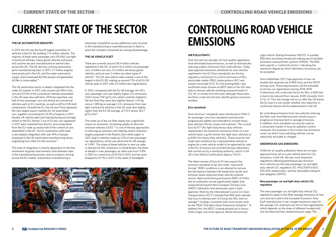In 2017, the UK was the fourth largest assembler of vehicles in the EU-28, building 1.75 million vehicles. The majority of these were passenger cars (95.6%), but light commercial vehicles, heavy goods vehicles and buses and coaches are also manufactured at several sites across the UK. The UK also has a strong automotive parts manufacturing base. In 2017, 2.7 million engines were produced in the UK, and the wider automotive supply chain employed 82,000 people and generated £4.9bn in value added  $^{13}$ .

#### **THE UK AUTOMOTIVE INDUSTRY**

The UK automotive sector is deeply integrated into the wider EU market. In 2017, only around one-fifth of the cars and 37.5% of the commercial vehicles assembled in the UK were also sold here. Of those exported, over half of new passenger cars and almost all commercial vehicles went to EU countries, as well as 65% of UK-built components. Outside the EU, the US and China represent the next largest export markets for UK assembled cars, together accounting for 23.2% of exports in 2017. Equally, UK vehicle sales and manufacturing are strongly reliant on the EU; almost 7 out of 10 new cars registered in 2017 were imported from the EU, and components from the EU made up nearly half of the content of cars assembled in the UK. The EU automotive skills base is also deeply integrated, with over 10% of people employed in the UK automotive manufacturing sector originating from other EU-28 countries <sup>14</sup>.

In 2016, compared with the EU-28 average, the UK's new passenger cars had slightly higher  $CO<sub>2</sub>$  emissions (120.1 versus 118.1  $gCO<sub>2</sub>/km$  which could be related to the fact that they were also slightly heavier; 1,411 kg versus 1,385 kg on average).  $CO<sub>2</sub>$  emissions from new light commercial vehicles in the UK were also slightly higher than the EU-28 average, at 172.9 versus 163.7  $gCO<sub>2</sub>/km<sup>16</sup>$ .

This level of integration is heavily dependent on the free movement of goods (and workers) both between sites in the manufacturing process, and on products moving across the EU market. Automotive manufacturing is

extremely competitive so any additional costs incurred in the manufacturing or assembly process is likely to place the company concerned at a strong disadvantage.

#### **THE UK VEHICLE FLEET**

There are currently around 38.9 million vehicles registered in the UK, of which 32.2 million are passenger cars, 4 million are vans, 0.5 million are heavy goods vehicles, and just over 2 million are other types of vehicle<sup>15</sup>. The UK new vehicle sales market is one of the largest in the EU-28, making up around 17% of all EU-28 vehicle sales in 2017 with 2.9 million new registrations.

The make-up of the car fleet clearly has a significant impact on emissions. Increasing uptake of ultra-low emission vehicles (ULEV<sup>17</sup>) is one of the key approaches to reducing air pollution and meeting carbon reduction targets proposed in the Road to Zero white paper. In 2017, plug-in vehicles made up 2.1% of new passenger car registrations, which was above the EU 28 average of 1.4%18. The share of diesel vehicles in new car sales is relevant for  $NO<sub>x</sub>$  emissions. In Great Britain, the share of diesels in new passenger car sales rose from 17.8% in 2001 to a maximum of 50.5% in 2012, but has since dropped to 41.7% in 2017, in the wake of 'dieselgate'.



# **CURRENT STATE OF THE SECTOR**

#### **AIR POLLUTANTS**

The new passenger car and light-duty vehicle  $CO<sub>2</sub>$ regulations apply to the fleet-average emissions of new cars and vans sold in the European Economic Area. Each manufacturer is set a target maximum value for the average  $CO<sub>2</sub>$  emissions per km of new registrations, which depends on the share of different models sold into the fleet and their tested emission rates. The

Over the last two decades, EU fuel quality regulations have eliminated lead emissions, as well as dramatically reducing sulphur emissions from road vehicles. Today, type-approval emissions standards for new vehicles registered in the EU (Euro standards) are the key regulatory mechanism to control emissions of NO<sub>x</sub>, particulate matter (PM), hydrocarbons (HC) and carbon monoxide (CO). For the existing fleet, road worthiness tests (known as MOT tests in the UK) also help to remove vehicles emitting excessive levels of CO, HC or smoke from the road, although these tests are fairly crude and will only identify grossly excessive emitters.

#### **Euro standards**

Since the Euro 1 standards were introduced in 1992/3 for passenger cars, Euro standards have become progressively tighter and extended to include heavyduty vehicles (lorries, buses and coaches). The current Euro 6/VI<sup>19</sup> (for light-duty/heavy-duty vehicles respectively) set maximum emissions limits on a per vehicle basis in g/km driven (for light-duty vehicles) or g/kWh (for heavy-duty vehicles). These must be met under test conditions by a representative vehicle or engine for a new vehicle model to be approved for sale in the EU. Emissions are recorded during a laboratory test carried out by a certifying authority, which in the UK is the Vehicle Certification Agency (VCA).

The latest version of Euro 6/VI also require the emission standards to be met under "real world driving" (RDE) conditions in an attempt to remove the discrepancy between lab-based test results and emission levels observed when vehicles entered service. Real-world driving emissions (RDE) of GHGs and air pollutants can be significantly higher than measured during the New European Driving Cycle (NEDC) laboratory test previously used in typeapproval. Work by the International Council on Clean Transportation (ICCT) showed that RDE tests indicate that Euro 6 vehicles emit 4.5 times the  $NO<sub>x</sub>$  limit on average<sup>20</sup>, findings consistent with more recent work by the TRUE (The Real Urban Emissions) Initiative<sup>21</sup>. To address this, the NEDC is being phased out in favour of the longer and more rigorous World Harmonized

Light-vehicle Testing Procedure (WLTP). In parallel, RDE tests are being introduced making use of portable emissions measurement systems (PEMS). The RDE tests specify a "conformity factor," indicating the maximum degree by which laboratory emissions can be exceeded.

Since September 2017, type approval of new car models has required use of RDE tests and the WLTP driving cycle. These requirements will be extended to all new car registrations during 2018-2019. Furthermore, the conformity factor for  $NO<sub>x</sub>$  in RDE test is due to be reduced from January 2020 onwards, from 2.1 to 1.5. This last change will occur after the UK leaves the EU and it is not certain whether this reduction in conformity factors will be implemented in the UK.

By controlling emissions from new vehicles entering the fleet, over time fleet turnover should cause a progressive improvement in average emissions. In addition, Euro standards can also be used as a convenient marker in local air pollution control measures (for example in the London low emissions zone), by which more polluting vehicles can be selectively excluded or charged.

### **GREENHOUSE GAS EMISSIONS**

Unlike for air quality pollutants, there are no typeapproval limits set on a per-vehicle basis for  $CO<sub>2</sub>$ emissions. In the UK, the two most important regulations affecting greenhouse gas emission from vehicles are the new passenger car and lightduty vehicle CO<sub>2</sub> regulation (EC 443/2009 and EC 510/2011 respectively), and the renewable transport fuel obligation (RTFO).

#### **New passenger car and light-duty vehicle CO2 regulation**

## **CONTROLLING ROAD VEHICLE EMISSIONS**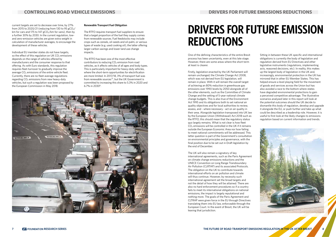current targets are set to decrease over time, by 27% from 2015 to 2020/21 (reducing from 130 to 95  $gCO<sub>2</sub>$ / km for cars and 175 to 147  $gCO<sub>2</sub>/km$  for vans), then by a further 30% by 2030. In the current regulation, lowand zero-emission vehicles are given extra weight in calculation of manufacturer averages, to encourage the development of these vehicles.

> The RTFO has been one of the most effective contributors to reducing  $CO<sub>2</sub>$  emission from road vehicles, as it affects vehicles of all ages and body types. This is particularly important for heavy-duty vehicles, where the short-term opportunities for electrification are more limited. In 2017/18, 3% of transport fuel was from renewable sources<sup>22</sup>, but the UK Government is committed to increasing this share to 5.3% in 2020 and 6.7% in 2030<sup>8</sup>.



Individual EU member states do not have targets, so the effect of this regulation on UK  $CO<sub>2</sub>$  emissions depends on the range of vehicles offered by manufacturers and the consumer response to that offering. As with Euro standards, this regulation requires fleet-turnover to gradually improve the average  $CO<sub>2</sub>$  emissions of the entire vehicle fleet. Currently, there are no fleet-average regulations regarding  $CO<sub>2</sub>$  emissions from new heavy-duty vehicles, but such a regulation was been proposed by the European Commission in May 2018.

#### **Renewable Transport Fuel Obligation**

The RTFO requires transport fuel suppliers to ensure that a target proportion of the fuel they supply comes from renewable sources. Fuel feedstocks may include crops such as cereals, oil-seeds and oil-palm, or various types of waste (e.g. used cooking oil), the latter offering larger carbon savings and lower land use change impacts.

## **DRIVERS FOR FUTURE EMISSION REDUCTIONS**

One of the defining characteristics of the entire Brexit process has been uncertainty, even at this late stage. However, there are some areas where the short term at least is clearer.

Firstly, legislation enacted by the UK Parliament will remain unchanged; the Climate Change Act 2008, which was not derived from EU legislation, will remain in place. With it will remain the overall target of achieving an 80% reduction in greenhouse gas emissions over 1990 levels by 2050 alongside all of the other elements, such as the Committee of Climate Change and the setting of 5-year national climate change budgets. This is also true of the Environment Act 1995 and its obligations both to set national air quality objectives and for local authorities to review, assess, and - where necessary - act on air quality in their area. Alongside legislation transposed into UK law by the European Union (Withdrawal) Act 2018 such as the RTFO, this should mean that the regulatory status quo largely remains. What is not clear is how fleet  $CO<sub>2</sub>$  emissions will be controlled in the UK if it remains outside the European Economic Area nor how failing to meet national commitments will be addressed. This latter question is part of the Government's consultation on environmental principles and governance, with the final position due to be set out in Draft legislation by the end of December.

The UK will also remain a signatory of key international agreements, such as the Paris Agreement on climate change emissions reductions and the UNECE Convention on Long Range Transboundary Air Pollution (CLRTAP) and its associated Protocols. The obligation on the UK to contribute towards international efforts on air pollution and climate will thus continue. However, by necessity such international agreement set the broad targets and not the detail of how they will be attained. There are also no hard enforcement procedures so if a country fails to meet its international obligations on national emissions, the impact is largely reputational and nothing more. The goals of the Paris Agreement and CLTRAP were given force in the EU through Directives translating them into EU law, enforceable through the European Court. In the event of Brexit, the UK will be leaving that jurisdiction.

Sitting in between these UK specific and international obligations is currently the body of legislation and regulation derived from EU Directives and other legislative instruments (regulations, implementing acts, reasoned decisions, etc). In reality, this makes up the largest body of legislation in the UK and, increasingly, environmental protection in the UK has mirrored that in other EU Member States. This has helped ensure a level playing field for the movement of goods and services across the Union but has also avoided a race to the bottom where states have degraded environmental protections to gain a perceived competitive advantage. The illustrative scenarios analysed later in this report will look at the potential outcomes should the UK decide to dismantle this body of regulation, develop and upgrade it alongside the EU, or push further and take up what could be described as a leadership role. However, it is useful to first look at the likely changes to emissions regulation based on current information and trends.

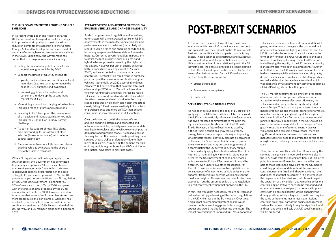#### **THE UK'S COMMITMENT TO REDUCING VEHICLE EMISSIONS**

In its recent white paper The Road to Zero, the UK Department for Transport set out its strategy to improve local air quality, to meet its carbon reduction commitments according to the Climate Change Act, and to develop the consumer market and manufacturing base for zero-emissions vehicles in the UKviii. Specifically, the Government has committed to a range of measures, including:

- **•** Ending the sale of new petrol or diesel-only combustion engine vehicles by 2040
- **•** Support the uptake of ULEV by means of:
- **-** grants, tax incentives and non-financial local incentives (e.g. free parking) to reduce the cost of ULEV purchase and ownership
- **-** improving guidance for dealers and consumers, to develop the second-hand market for ULEVs
- **•** Maintaining support for charging infrastructure through a range of grants and regulations
- **•** Investing in R&D to support the development of UK design and manufacturing, for example through the £246 million Faraday Battery **Challenge**
- As part of its support of local NO<sub>2</sub> plans, providing funding for retrofitting of older vehicles (buses in particular) with pollution control technology
- A commitment to reduce CO<sub>2</sub> emissions from existing vehicles by increasing the share of renewable fuels in transport

Where EU legislation will no longer apply to the UK after Brexit, the Government has committed to pursuing an approach "at least as ambitious as current arrangements." While this statement is somewhat open to interpretation, in the case of targets for consumer uptake of ULEVs, the UK proposals appear more ambitious than EU regulation. By 2030, the UK Government is aiming for 50- 70% of new cars to be ULEV by 2030, compared with the targets of 30% proposed by the EU for manufacturers' fleets by 2030. However, it is also true to say that some other EU member states have more ambitious plans. For example, Germany has resolved to ban the sale of new cars with internal combustion engines by 2030, 10 years ahead of the UK. Norway, an EEA member, plans such a ban from 2025.

#### **ATTRACTIVENESS AND AFFORDABILITY OF LOW EMISSION VEHICLES, AND CHANGES IN MOBILITY**

Aside from government regulation and incentives, other factors will drive increased uptake of ULEVs: improvements in the manufacturing efficiency and performance of electric vehicles (particularly with regard to vehicle range and charging speed) and an increasing range of available models as the market matures. Currently, government plug-in grants aim to offset the high purchase price of electric and hybrid vehicles, primarily caused by the high cost of the battery. However, per unit of energy delivered, battery prices have fallen by almost 80% since 20108, and are expected to continue to fall over near future. Eventually this could result in purchase price parity with conventional combustion engine vehicles – potentially by 2022 according to Green Alliance23. But even before that point the total cost of ownership (TCO) for ULEVs will be lower due to lower running costs and likely increasing resale values as the second-hand market develops, whilst the attractiveness of diesel cars due to the many recent exposures on pollution and health impacts is clearly falling24. Fleet owners are likely to focus less on purchase price and more on TCO than private consumers, so may take a lead in ULEV uptake.

Over the longer term, with the advent of carand ride-sharing platforms and connected and autonomous vehicles, mobility-as-a-service models may begin to replace private vehicle ownership as the dominant road transport model. A consequence of this may be that the owners of fleets providing these services choose ULEVs preferentially due to their lower TCO, as well as reducing the demand for highemitting vehicle segments such as SUVs which offer no practical advantage in most use cases.



# **POST-BREXIT SCENARIOS**

In this section, the report looks at three post-Brexit scenarios which take all of this evidence into account and speculates on their impact on the UK road vehicle fleet and on the UK vehicle and parts manufacturing sector. These scenarios are illustrative and qualitative and cannot address all the potential nuances of the UK's as yet undefined future relationship with the EU. Nevertheless, the analysis provides a broad indication of both the risks and opportunities offered by Brexit in terms of emissions control for the UK road transport sector. These three scenarios are:

- **•** Strong deregulation
- **•** Environmental compliance
- **•** Leadership

#### **SCENARIO 1: STRONG DEREGULATION**

As has been set out above, the body of EU legislation applying to the UK before exit day will be transposed into UK law automatically. Moreover, the Government has given repeated commitments to maintain the highest environmental standards in the UK post-Brexit. However, a future Government, faced by difficult trading conditions, may take a strongly de-regulatory stance as a possible way of improving UK competitiveness. They may also not be convinced of the need for Government to intervene to protect the environment and may pursue a programme of deconstructing the EU derived regulatory regime. This would only apply to a situation where the UK is not tied to maintaining environmental standards to preserve the free movement of good and services, as is the case for EU and EEA members. It would be a stretch, even under a hypothetical scenario, for the UK to have no emissions control legislation – the consequences of uncontrolled vehicle emissions are apparent from cities all over the world and even the most short-sighted Government would not miss these examples – but the assumption is that any regulation is significantly weaker than that applying in the EU.

In fact, this would not necessarily require de-regulation but instead simply a freezing of the current regulations in the UK while those in the EU move on. Over time, a significant environmental protection gap would develop. In this case, the gap would take longer to appear and would thus be further into the future. The impact on emissions of improved full EVs, autonomous

vehicles, etc. over such a timescale is more difficult to gauge, in other words, how great the gap would be in practice between a more tightly regulated EU and the UK. It could also be assumed that civil society in the form of environmental NGOs would step in and seek to prevent such a gap forming. Client Earth's actions in challenging the legality of the UK's recent air quality plans might clearly be seen as a precedent. However, up to that point, the UK's major environmental NGOs had not been especially active or vocal on air quality, despite deadlines for compliance with EU targets being missed and despite clear evidence (much of which was published by Government advisory groups such as COMEAP) of significant health impacts.

The UK market accounts for a significant proportion of new car sales in Europe and is therefore very attractive to vehicle manufacturers. However, the vehicle manufacturing sector is highly integrated across Europe. This is part of a global trend towards model streamlining and the ideal scenario for a vehicle manufacturer is a single, global regulatory regime, which would allow for a far more streamlined model range. In this way, a model sold in the USA would be exactly the same as a model sold on Europe or China, greatly reducing manufacturing costs. However, while there has been some convergence, there are significant differences between markets and so manufacturers will seek to maximise the coverage for a single model, reducing the variations which increase costs.

Thus, the cars currently sold in the UK are exactly the same as the equivalent model sold anywhere else in the EEA, aside from the driving position. But this latter point is a key one – if manufacturers are willing and able to make right hand drive cars for the UK market, could they produce models without the emissions control equipment fitted and, therefore, without the additional cost of that equipment? The answer lies in the degree to which emissions controls are integral to the operation of the vehicle. If, by removing emissions controls, engine software needs to be remapped and other components redesigned, that removal implies costs with no obvious benefit. Unlike changing the driving position, which is largely cosmetic and requires the same components, just in reverse, emissions control is an integral part of the engine management system. Its removal is likely to require significant work and cost and so it is unlikely that UK specific models will be produced.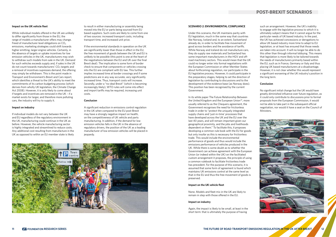### **POST-BREXIT SCENARIOS**

#### **Impact on the UK vehicle fleet**

While individual models offered in the UK are unlikely to differ significantly from those in the EU, the range of models a manufacturer offers may change. Freed of manufacturer level obligations on  $CO<sub>2</sub>$ emissions, marketing strategies could shift towards higher emitting, larger engine vehicles. Certainly, in the absence of targets or uptake incentives for low emission vehicles in the UK, manufacturers may wish to withdraw such models from sale in the UK. Demand for such vehicles exceeds supply and, if sales in the UK do not count towards manufacturers'  $CO<sub>2</sub>$  targets and a removal of incentives supresses demand, the offering may simply be withdrawn. This is the point made in Transport and Environment's Brexit and Cars report, which identifies a threat to the UK's ability to meet the commitments of its carbon budgeting process (which derives from wholly UK legislation, the Climate Change Act 2008). However, it is only likely to come about if targets and incentives are removed in the UK – if a market exists for larger, and therefore more polluting cars, the industry will try to supply it.

#### **Impact on industry**

If individual models do not vary between the UK and EU regardless of the regulatory environment in the UK, manufacturing could continue in the UK as before. However, the vehicle manufacturing sector is highly integrated and streamlined to reduce costs. Any additional cost resulting from manufacture in the UK as opposed to within an EU member state is likely

to result in either manufacturing or assembly being moved into the EU or parts being sourced from EU based suppliers. Such costs are likely to come from one of two sources: increased transport costs, including transport time, and increased unit price.

If the environmental standards in operation on the UK are significantly lower than those in effect in the EU, the free movement of goods between the UK and EU is unlikely to be possible (this point is one at the heart of the negotiations between the EU and UK over the final Brexit deal). The implication is some form of border check to ensure that components or vehicles crossing into the EU are compliant with EU law. This further implies increased time at border crossings and if some predictions are in any way accurate, very significantly increased time. Thus, transport costs will increase. Secondly, under a "no-deal Brexit" (which is becoming increasingly likely), WTO rules will come into effect and import tariffs may be required, increasing unit costs.

#### **Conclusion**

A significant reduction in emissions control regulation in the UK when compared to the EU post-Brexit may have a strongly negative impact on health, on the competitiveness of UK vehicle and parts manufacturing. In addition, if the demand for low emission vehicles falls in the UK in the absence of regulatory drivers, the position of the UK as a leading manufacturer of low emission vehicles will be placed in jeopardy.



#### **SCENARIO 2: ENVIRONMENTAL COMPLIANCE**

Under this scenario, the UK maintains parity with EU legislation, much in the same way that countries like Norway, Iceland and, to an extent, Switzerland already do, in order to facilitate free movement of good across borders and the avoidance of tariffs. While Norway and Iceland do not manufacture cars, they do supply raw materials and Switzerland has some important manufacturers in the HGV and offroad machinery sectors. This would mean that the UK could no longer enter into formal negotiations with the European Commission or other Member States about forthcoming regulation, nor participate in the EU legislative process. However, it could participate in the preparatory stages, helping to set the direction of legislation by contributing to discussions and to the development of the evidence base (as Norway does). This position has been recognised by the current Government.

In its white paper The Future Relationship Between the United Kingdom and the European Union<sup>25</sup>, more usually referred to as the Chequers agreement, the Government recognises the need for frictionless trade in order to "protect the uniquely integrated supply chains and 'just-in-time' processes that have developed across the UK and the EU over the last 40 years, and will remain important given our geographical proximity, and the jobs and livelihoods dependent on them." To facilitate this, it proposes developing a common rule book with the EU for goods but only insofar as this is necessary for frictionless trade. This would include the environmental performance of goods and thus would include the emissions performance of vehicles produced in the UK. While there is some doubt as to whether the Government can achieve agreement with the European Union (or indeed within the UK) on the facilitated custom arrangement it proposes, the principle of using a common rulebook to facilitate frictionless trade has precedent. For the purpose of this scenario, it is assumed that some form of agreement is found which maintains UK emissions control at the same level as that in the EU and thus the free movement of goods is preserved.

#### **Impact on the UK vehicle fleet**

None. Models and fleet mix in the UK are likely to remain in step with those offered in the EU.

#### **Impact on industry**

Again, the impact is likely to be small, at least in the short term: that is ultimately the purpose of having

such an arrangement. However, the UK's inability to engage with the legislative process to which it is ultimately subject means that it cannot argue for the particular needs of UK based industry. In the past, the UK has achieved concessions or derogations to allow UK based industry more time to adapt to EU legislation, or at least has ensured that those needs are taken into account. It will no longer be able to do this other than through informal lobbying. This means that legislation is more likely to be tailored towards the needs of manufacturers primarily based within the EU, such as in France, Germany or Italy and thus placing UK based manufacturers at a disadvantage. However, it is not clear whether this would represent a significant worsening of the UK industry's position in the long term.

#### **Conclusion**

No significant initial change but the UK would have greatly diminished influence over future regulation, as it could only contribute to discussions prior to formal proposals from the European Commission, it would not be able to take part in the subsequent official negotiation, nor would it have a seat on the Council of Ministers.

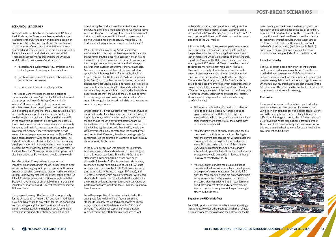### **POST-BREXIT SCENARIOS**

#### **SCENARIO 3: LEADERSHIP**

As noted in the section Future Environmental Policy in the UK, above, the Government has repeatedly stated its desire for the UK to take a world leading position on environmental protection post-Brexit. The implication of that in terms of road transport emissions control is examined under this scenario: what are the opportunities for world leadership and what are the constraints? There are essentially three areas where the UK could work to attain a position as a 'world leader':

- **•** Research and development of low emission vehicle technology, and its subsequent manufacture
- **•** Uptake of low emission transport technologies by the public and businesses
- **•** Environmental standards and regulation

The Road to Zero white paper sets out a series of measures which, it says, "will put the UK at the forefront of the design and manufacturing of zero emission vehicles." However, the UK, is free to support and stimulate research and development on low emission vehicles both as a member of the EU and outside it. Brexit need not have an impact here and support of R&D is neither a cost nor a dividend of Brexit in this context<sup>26</sup>. In the same vein, measures to incentivise the uptake of low emission vehicles neither require nor are necessarily hampered by Brexit. As a recent report for the European Environment Agency<sup>27</sup> showed, there exists a wide range of incentive programmes across the EU and EEA and a correspondingly wide range of uptake rates. The highest proportion of electric vehicles in the fleet of any developed nation is in Norway, where a huge incentive programme has massively increased EV uptake rates. But the incentives that Norway provides for EV uptake could also be provided by EU Members, should they so wish.

Post-Brexit, the UK may be freer to support and incentivise manufacturing in the UK, either through direct support or by charging for imported products. However, any action which is perceived to distort market conditions is likely to be swiftly met with reciprocal action by the EU. If the UK wishes to maintain frictionless trade with the EU, it will have to play by essentially the same trade and industrial support rules as EU Member States or, indeed, EEA members.

Thus, regulation may offer the most likely opportunity for the UK to adopt a "leadership" position. In addition to providing greater health protection for the UK population and furthering our global position as a positive actor on climate change, tighter regulation could potentially play a part in our industrial strategy, supporting and

incentivising the production of low emission vehicles in the UK and providing a market for them. As Michael Gove was recently quoted as saying of the Climate Change Act, "critics at the time argued that it could harm economic growth… what it has done is actually make the UK a leader in developing some renewable technologies."28

While the broad aim of being "world leading" on environmental protection has been repeatedly stated by the Government, this does not necessarily mean having the world's tightest regulation. The current Government has strongly de-regulatory instincts and will always prefer market-based mechanisms if they are available. Moreover, a number of statements indicate a lack of appetite for tighter regulation. For example, the Road to Zero commits the UK to pursuing "a future approach [after Brexit] that is at least as ambitious as the current arrangements for vehicle emissions regulation." This gives no commitments to meeting EU standards in the future if and when they become tighter. Likewise, the Brexit white paper proposes that "the UK and the EU should commit to the non-regression of environmental standards", i.e. commit to not going backwards, which is not the same as committing to go forwards.

Under scenario 1, it was suggested that while the UK is an important market for vehicle manufacturers in Europe, it is not big enough to warrant the production of dedicated models should the UK's environmental standard fall behind those of the EU. If the situation were reversed, i.e. if the UK had tighter standards than the EU, would the UK Government simply be restricting the availability of vehicles for the UK market, thereby increasing costs for consumers? As the example of California shows this may not necessarily be the case.

In the 1960s, permission was granted for Californian vehicle emissions standards to become more stringent than U.S. federal standards. Since the 1990s, 13 other states with similar air pollution issues have been allowed to follow the California standards. Historically, car manufacturers have produced so-called "50-state" vehicles which are compliant with California standards (and automatically the less stringent EPA ones), and "49-state" vehicles which are only compliant with federal standards. However, over time the federal standards for the main air pollutants have progressively converged on California standards, and from the 2016 model year have been the same.

From the perspective of the automotive industry, the anticipated future tightening of federal emissions standards to follow the California standards has been a major incentive for the development of "50-state" vehicles. The additional cost and effort to develop vehicles complying with California standards as well

as federal standards is comparatively small, given the benefits of increased market access; California alone accounted for 12% of U.S. light-duty vehicle sales in 2017, and together with the other 13 states account for around one-third of the U.S. market.

It is not entirely safe to take an example from one area and assume that it transposes perfectly into another; the parallels with the UK following Brexit are not exact. Nevertheless, the UK could introduce its own standards, e.g. a Euro 6 without the RDE conformity factors or an even tighter 'UK 7' standard. There is also the potential to introduce more intelligent regulation – the Euro Standards are a fairly blunt instrument and the wide range of performance against them shows that not all manufacturers are equally committed to meet them. The 'one size fits all' approach of the Euro Standards could be replaced by something which encourages faster progress. Regulatory innovation is equally possible for CO<sub>2</sub> emissions, once freed of the need to coordinate with 27 other countries, each with its own national interest. However, such an approach would need to be very carefully handled:

- **•** Tighter standards in the UK could act as a barrier to trade and thus breach any frictionless trade agreement reached with the EU. It might be awkward for the EU to impose trade sanctions for a partner being more protective of the environment but there is clearly a risk.
- **•** Manufacturers would strongly oppose the need to comply with multiple testing regimes. Testing to meet the current standards is not without costs and currently, vehicles or engines tested and passed in one EU state can be sold in all of them. In the USA, vehicles meeting the California standard automatically pass the federal standard and a similar arrangement would be needed in Europe, although this may be resisted by the EU.
- **•** Meeting tighter standard requires a significant commitment in terms of research and development on the part of the manufacturers. Currently, R&D plans for most manufacturers are on providing ultralow or zero emission vehicles over the medium to long term. Meeting a tighter interim standard may divert development efforts and effectively lock in internal combustion engines for longer than might otherwise be the case.

#### **Impact on the UK vehicle fleet**

Potentially positive, as cleaner vehicles are increasingly incentivised. However, the extent to which this reflects a "Brexit dividend" remains to be seen. However, the UK does have a good track record in developing smarter regulation and so compliance costs could, potentially, be reduced although at this stage there is no indication of how that could be done. There is also the potential to incentivise, through regulation, the faster uptake of cleaner vehicles into the UK market. This would be beneficial for air quality (and thus public health) and climate change, although may result in some manufacturers being excluded from the UK market.

#### **Impact on industry**

Positive, although once again, many of the benefits could be achieved regardless of Brexit. Nevertheless, a well-designed programme of R&D and industrial support, incentives for low emission vehicle uptake and progressive regulation could act as a strong stimulus for UK manufacturing. Brexit allows greater latitude for the latter element. This assumes that frictionless trade can be maintained alongside such a strategy.

#### **Conclusion**

There are clear opportunities to take up a leadership position in terms of direct support for low emission vehicles (which could be seen as independent of Brexit) and in the strength, pace or form of regulation. It is difficult, at this stage, to predict the UK's direction post Brexit given the mixed signals from different parts of Government but it seems likely that positive action in this area offers the best outcome for public health, the environment and industry.

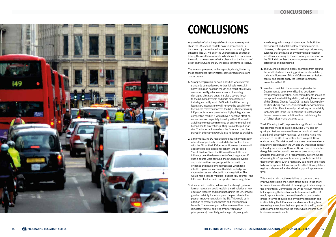Any analysis of what the post-Brexit landscape may look like in the UK, even at this late point in proceedings, is hampered by the continued uncertainty surrounding the outcome. The UK will be in the unprecedented position of leaving the most harmonised multinational free trade area the world has ever seen. What is clear is that the impacts of Brexit on the UK and the EU will take a long time to resolve.

The analysis presented in this report is, clearly, limited by these constraints. Nevertheless, some broad conclusions can be drawn:

- **1.** Strong deregulation, or even a position where current standards do not develop further, is likely to result in harm to human health in the UK as a result of relatively worse air quality, a far lower chance of avoiding damaging climate change. It is also a severe threat to the UK based vehicle and parts manufacturing industry, currently worth £4.9bn to the UK economy. Regulatory inconsistency will remove the possibility of frictionless movement across the UK-EU border making UK products more expensive in a highly integrated and competitive market. It would have a negative effect on consumers and especially industry in the UK, as well as failing to meet commitments on environmental and human health protection, putting lives of the public at risk. The important role which the European court has played in enforcement would also no longer be available.
- **2.** Simply following EU regulation to ensure harmonisation offers the opportunity to undertake frictionless trade with the EU, as the UK does now. However, there would appear to be little additional benefit (the so-called 'Brexit dividend') and the UK would have little or no influence over the development of such regulation. If such a course were pursued, the UK should develop and maintain the strongest possible links with the evidence and development processes which feed into EU regulation to ensure that its knowledge and circumstances are reflected in such regulation. This would help a little to mitigate - but not fully counter - the UK's loss of influence in transport emissions regulation.
- **3.** A leadership position, in terms of the strength, pace or form of regulation, could result in the stimulation of low emission research and manufacturing in the UK, provide greater certainty for industry and help accelerate the pace of improvement within the EU. This would be in addition to greater public health and environmental benefits. There are opportunities to review the current regulatory regime, applying smarter regulation principles and, potentially, reducing costs, alongside

a well-designed strategy of stimulation for both the development and uptake of low emission vehicles. However, such a process would need to provide strong evidence that the levels of environmental protection are at least as strong as those currently in operation in the EU if a frictionless trade arrangement were to be established and maintained.

- **4.** The UK should observe closely examples from around the world of where a leading position has been taken, such as in Norway on EVs and California on emissions control and seek to apply the lessons from those examples in the UK.
- **5.** In order to maintain the assurances given by the Government to seek a world leading position on environmental protection, clear commitments should be transposed into to UK legislation, following the example of the Climate Change Act 2008, to avoid future policy positions being reversed. Aside from the environmental benefits this offers, it would provide long term certainty for businesses in the UK to continue to research and develop low emission solutions thus maintaining the UK's high-class manufacturing base.

The UK leaving the EU represents a significant risk that the progress made to date in reducing GHG and air quality emissions from road transport could at least be stalled and, potentially, reversed. While this risk is not confined to the UK, it is greatest here in a post-Brexit environment. This risk would take some time to realise: a regulatory gap between the UK and EU would not appear in the days or even months after Brexit. Even a concerted deregulatory effort would take some time to organise and pass through the UK's Parliamentary system. Under a "marking time" approach, whereby controls are left in their current state, such a regulatory gap might take years to become apparent. However, unless the UK's regulatory regime is developed and updated, a gap will appear over time.

This is not an abstract issue: failure to continue those improvements risks the health of the public in the short term and increases the risk of damaging climate change in the longer term. Committing the UK to not just matching but surpassing the levels of control exercised in the EU would appear to offer the most beneficial outcome to Brexit, in terms of public and environmental health and in stimulating the UK research and manufacturing base to stealing a march on their competitors in the EU, while at the same time allowing the trade which ensures such businesses remain viable.



# **CONCLUSIONS**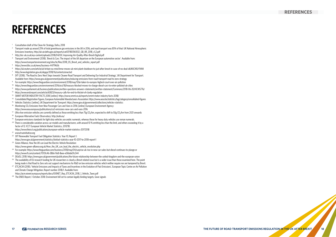- <sup>1</sup>Consultation draft of the Clean Air Strategy, Defra, 2018
- <sup>2</sup> Transport made up around 25% of total greenhouse gas emissions in the UK in 2016, and road transport was 85% of that: UK National Atmospheric Emissions Inventory, http://uk-air.defra.gov.uk/reports/cat07/1803161032\_GB\_IIR\_2018\_v1.2.pdf
- <sup>3</sup>http://eic-uk.co.uk/wp-content/uploads/2018/04/EIC-Improving-Air-Quality-After-Brexit-Digital.pdf
- Transport and Environment (2018), 'Brexit & Cars: The impact of the UK departure on the European automotive sector'. Available from: https://www.transportenvironment.org/sites/te/files/2018\_05\_Brexit\_and\_vehicles\_report.pdf
- <sup>5</sup>https://www.bbc.co.uk/news/business-44719656
- <sup>6</sup>https://uk.reuters.com/article/uk-britain-eu-mini/bmw-moves-uk-mini-plant-shutdown-to-just-after-brexit-in-case-of-no-deal-idUKKCN1LY1WM
- <sup>7</sup>http://www.legislation.gov.uk/ukpga/2018/16/contents/enacted
- <sup>8</sup> DfT (2018), 'The Road to Zero: Next Steps towards Cleaner Road Transport and Delivering Our Industrial Strategy', UK Department for Transport. Available from: https://www.gov.uk/government/publications/reducing-emissions-from-road-transport-road-to-zero-strategy
- <sup>9</sup>For example: https://www.theguardian.com/environment/2018/may/17/uk-taken-to-europes-highest-court-over-air-pollution
- 10 https://www.theguardian.com/environment/2016/oct/18/treasury-blocked-moves-to-charge-diesel-cars-to-enter-polluted-uk-cities
- <sup>11</sup>https://www.parliament.uk/business/publications/written-questions-answers-statements/written-statement/Commons/2018-06-20/HCWS776/
- <sup>12</sup> https://www.endsreport.com/article/60823/treasury-calls-for-end-to-thicket-of-clunky-regulation
- 13 SMMT MOTOR INDUSTRY FACTS 2018 [online]: https://www.smmt.co.uk/reports/smmt-motor-industry-facts-2018/
- 14 Consolidated Registration Figures, European Automobile Manufacturers Association: https://www.acea.be/statistics/tag/category/consolidated-figures
- <sup>15</sup> Vehicles Statistics [online], UK Department for Transport: https://www.gov.uk/government/collections/vehicles-statistics
- <sup>16</sup> Monitoring CO<sub>2</sub> Emissions from New Passenger Cars and Vans in 2016 [online] European Environment Agency: https://www.eea.europa.eu/publications/co2-emissions-new-cars-and-vans-2016
- $17$  Ultra-low emission vehicles are currently defined as those emitting less than 75g CO<sub>2</sub>/km, expected to shift to 50g CO<sub>2</sub>/km from 2021 onwards
- <sup>18</sup> European Alternative Fuels Observatory: http://eafo.eu/
- <sup>19</sup> European emissions standards for light duty vehicles use arabic numerals, whereas those for heavy duty vehicles use roman numerals.
- <sup>20</sup> There is considerable variation across car models and manufacturers, with around 10 % emitting less than the limit, and others exceeding it by a factor of 12. ICCT European Vehicle Market Statistics, 2017/18:
- https://www.theicct.org/publications/european-vehicle-market-statistics-20172018
- <sup>21</sup> www.trueinitiative.org
- <sup>22</sup> DfT Renewable Transport Fuel Obligation Statistics: Year 10, Report 1:
- https://www.gov.uk/government/statistics/biofuel-statistics-year-10-2017-to-2018-report-1
- <sup>23</sup> Green Alliance, How the UK can Lead the Electric Vehicle Revolution: https://www.green-alliance.org.uk/How\_the\_UK\_can\_lead\_the\_electric\_vehicle\_revolution.php
- <sup>24</sup> For example: https://www.theguardian.com/business/2018/may/04/surprise-uk-rise-in-new-car-sales-but-diesel-continues-to-plunge or https://www.ft.com/content/70131c46-38b6-11e8-8eee-e06bde01c544
- <sup>25</sup> DExEU, 2018: https://www.gov.uk/government/publications/the-future-relationship-between-the-united-kingdom-and-the-european-union
- <sup>26</sup> The availability of EU research funding for UK researchers is clearly a Brexit related issue but is a wider issue than those examined here. The point being made is that Road to Zero sets out support mechanisms for R&D on low emission vehicles which neither require nor are hampered by Brexit.
- <sup>27</sup> ETC/ACM (2018), 'Vehicle Emissions and Impacts of Taxes and Incentives in the Evolution of Past Emissions', European Topic Centre on Air Pollution and Climate Change Mitigation, Report number 2018/1. Available from:
- https://acm.eionet.europa.eu/reports/docs/EIONET\_Rep\_ETCACM\_2018\_1\_Vehicle\_Taxes.pdf
- <sup>28</sup> The ENDS Report, 1 October 2018: Environment bill set to contain legally binding targets, Gove signals

### **REFERENCES**

# **REFERENCES**